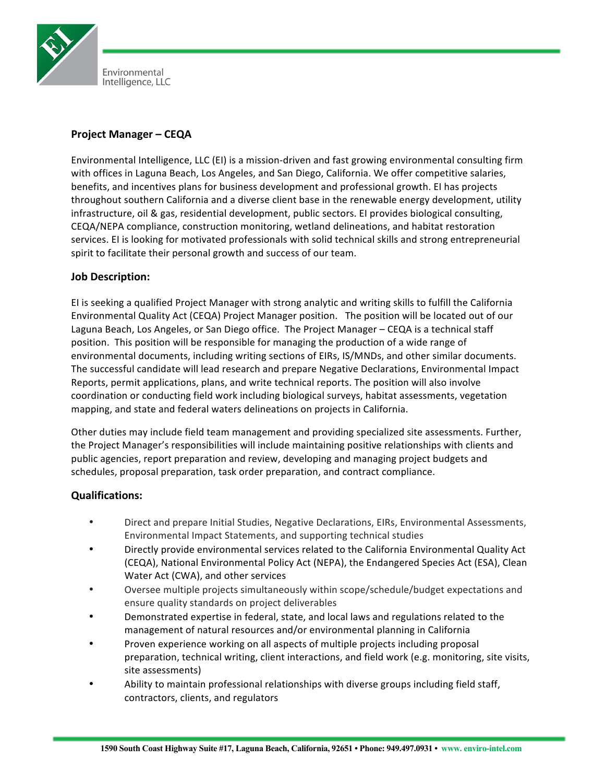

Environmental Intelligence, LLC

# **Project Manager – CEQA**

Environmental Intelligence, LLC (EI) is a mission-driven and fast growing environmental consulting firm with offices in Laguna Beach, Los Angeles, and San Diego, California. We offer competitive salaries, benefits, and incentives plans for business development and professional growth. El has projects throughout southern California and a diverse client base in the renewable energy development, utility infrastructure, oil & gas, residential development, public sectors. El provides biological consulting, CEQA/NEPA compliance, construction monitoring, wetland delineations, and habitat restoration services. EI is looking for motivated professionals with solid technical skills and strong entrepreneurial spirit to facilitate their personal growth and success of our team.

## **Job Description:**

EI is seeking a qualified Project Manager with strong analytic and writing skills to fulfill the California Environmental Quality Act (CEQA) Project Manager position. The position will be located out of our Laguna Beach, Los Angeles, or San Diego office. The Project Manager – CEQA is a technical staff position. This position will be responsible for managing the production of a wide range of environmental documents, including writing sections of EIRs, IS/MNDs, and other similar documents. The successful candidate will lead research and prepare Negative Declarations, Environmental Impact Reports, permit applications, plans, and write technical reports. The position will also involve coordination or conducting field work including biological surveys, habitat assessments, vegetation mapping, and state and federal waters delineations on projects in California.

Other duties may include field team management and providing specialized site assessments. Further, the Project Manager's responsibilities will include maintaining positive relationships with clients and public agencies, report preparation and review, developing and managing project budgets and schedules, proposal preparation, task order preparation, and contract compliance.

## **Qualifications:**

- Direct and prepare Initial Studies, Negative Declarations, EIRs, Environmental Assessments, Environmental Impact Statements, and supporting technical studies
- Directly provide environmental services related to the California Environmental Quality Act (CEQA), National Environmental Policy Act (NEPA), the Endangered Species Act (ESA), Clean Water Act (CWA), and other services
- Oversee multiple projects simultaneously within scope/schedule/budget expectations and ensure quality standards on project deliverables
- Demonstrated expertise in federal, state, and local laws and regulations related to the management of natural resources and/or environmental planning in California
- Proven experience working on all aspects of multiple projects including proposal preparation, technical writing, client interactions, and field work (e.g. monitoring, site visits, site assessments)
- Ability to maintain professional relationships with diverse groups including field staff, contractors, clients, and regulators